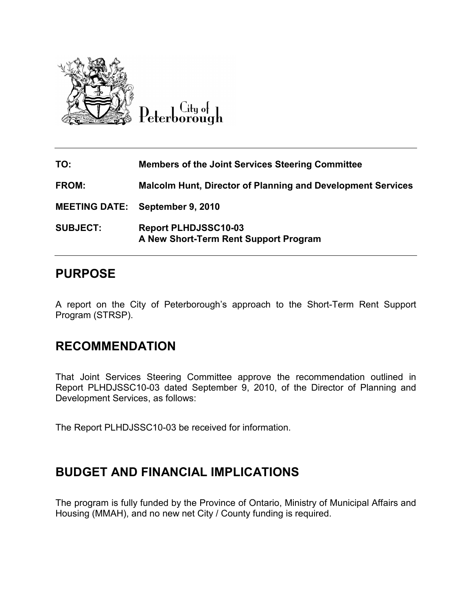

Peterborough

| TO:             | <b>Members of the Joint Services Steering Committee</b>              |
|-----------------|----------------------------------------------------------------------|
| <b>FROM:</b>    | <b>Malcolm Hunt, Director of Planning and Development Services</b>   |
|                 | <b>MEETING DATE:</b> September 9, 2010                               |
| <b>SUBJECT:</b> | <b>Report PLHDJSSC10-03</b><br>A New Short-Term Rent Support Program |

### PURPOSE

A report on the City of Peterborough's approach to the Short-Term Rent Support Program (STRSP).

# RECOMMENDATION

That Joint Services Steering Committee approve the recommendation outlined in Report PLHDJSSC10-03 dated September 9, 2010, of the Director of Planning and Development Services, as follows:

The Report PLHDJSSC10-03 be received for information.

# BUDGET AND FINANCIAL IMPLICATIONS

The program is fully funded by the Province of Ontario, Ministry of Municipal Affairs and Housing (MMAH), and no new net City / County funding is required.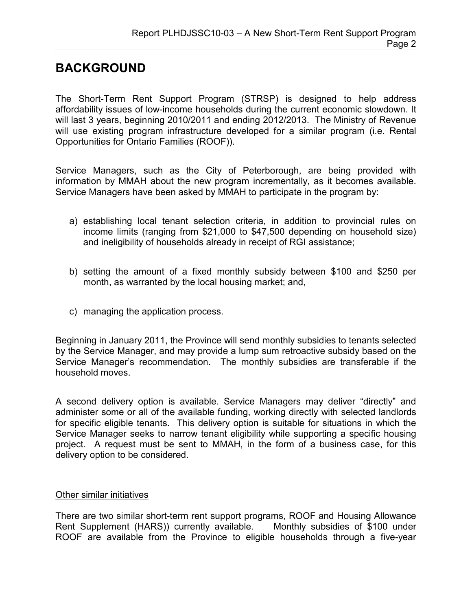# BACKGROUND

The Short-Term Rent Support Program (STRSP) is designed to help address affordability issues of low-income households during the current economic slowdown. It will last 3 years, beginning 2010/2011 and ending 2012/2013. The Ministry of Revenue will use existing program infrastructure developed for a similar program (i.e. Rental Opportunities for Ontario Families (ROOF)).

Service Managers, such as the City of Peterborough, are being provided with information by MMAH about the new program incrementally, as it becomes available. Service Managers have been asked by MMAH to participate in the program by:

- a) establishing local tenant selection criteria, in addition to provincial rules on income limits (ranging from \$21,000 to \$47,500 depending on household size) and ineligibility of households already in receipt of RGI assistance;
- b) setting the amount of a fixed monthly subsidy between \$100 and \$250 per month, as warranted by the local housing market; and,
- c) managing the application process.

Beginning in January 2011, the Province will send monthly subsidies to tenants selected by the Service Manager, and may provide a lump sum retroactive subsidy based on the Service Manager's recommendation. The monthly subsidies are transferable if the household moves.

A second delivery option is available. Service Managers may deliver "directly" and administer some or all of the available funding, working directly with selected landlords for specific eligible tenants. This delivery option is suitable for situations in which the Service Manager seeks to narrow tenant eligibility while supporting a specific housing project. A request must be sent to MMAH, in the form of a business case, for this delivery option to be considered.

#### Other similar initiatives

There are two similar short-term rent support programs, ROOF and Housing Allowance Rent Supplement (HARS)) currently available. Monthly subsidies of \$100 under ROOF are available from the Province to eligible households through a five-year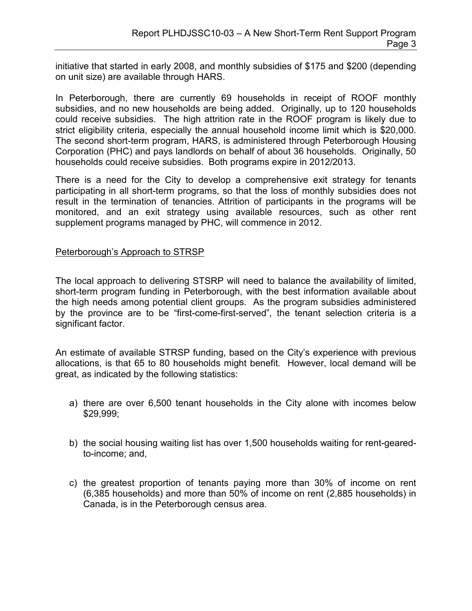initiative that started in early 2008, and monthly subsidies of \$175 and \$200 (depending on unit size) are available through HARS.

In Peterborough, there are currently 69 households in receipt of ROOF monthly subsidies, and no new households are being added. Originally, up to 120 households could receive subsidies. The high attrition rate in the ROOF program is likely due to strict eligibility criteria, especially the annual household income limit which is \$20,000. The second short-term program, HARS, is administered through Peterborough Housing Corporation (PHC) and pays landlords on behalf of about 36 households. Originally, 50 households could receive subsidies. Both programs expire in 2012/2013.

There is a need for the City to develop a comprehensive exit strategy for tenants participating in all short-term programs, so that the loss of monthly subsidies does not result in the termination of tenancies. Attrition of participants in the programs will be monitored, and an exit strategy using available resources, such as other rent supplement programs managed by PHC, will commence in 2012.

#### Peterborough's Approach to STRSP

The local approach to delivering STSRP will need to balance the availability of limited, short-term program funding in Peterborough, with the best information available about the high needs among potential client groups. As the program subsidies administered by the province are to be "first-come-first-served", the tenant selection criteria is a significant factor.

An estimate of available STRSP funding, based on the City's experience with previous allocations, is that 65 to 80 households might benefit. However, local demand will be great, as indicated by the following statistics:

- a) there are over 6,500 tenant households in the City alone with incomes below \$29,999;
- b) the social housing waiting list has over 1,500 households waiting for rent-gearedto-income; and,
- c) the greatest proportion of tenants paying more than 30% of income on rent (6,385 households) and more than 50% of income on rent (2,885 households) in Canada, is in the Peterborough census area.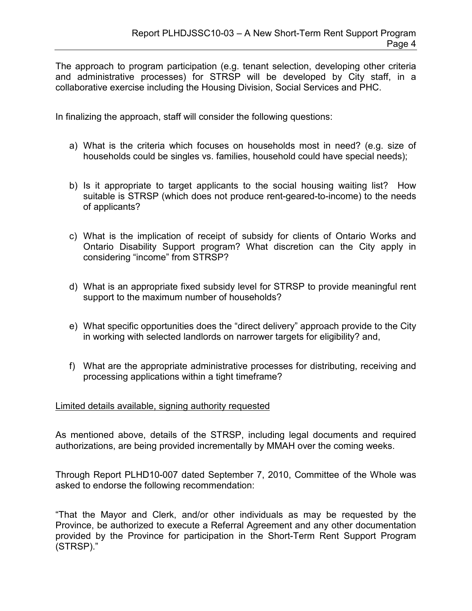The approach to program participation (e.g. tenant selection, developing other criteria and administrative processes) for STRSP will be developed by City staff, in a collaborative exercise including the Housing Division, Social Services and PHC.

In finalizing the approach, staff will consider the following questions:

- a) What is the criteria which focuses on households most in need? (e.g. size of households could be singles vs. families, household could have special needs);
- b) Is it appropriate to target applicants to the social housing waiting list? How suitable is STRSP (which does not produce rent-geared-to-income) to the needs of applicants?
- c) What is the implication of receipt of subsidy for clients of Ontario Works and Ontario Disability Support program? What discretion can the City apply in considering "income" from STRSP?
- d) What is an appropriate fixed subsidy level for STRSP to provide meaningful rent support to the maximum number of households?
- e) What specific opportunities does the "direct delivery" approach provide to the City in working with selected landlords on narrower targets for eligibility? and,
- f) What are the appropriate administrative processes for distributing, receiving and processing applications within a tight timeframe?

#### Limited details available, signing authority requested

As mentioned above, details of the STRSP, including legal documents and required authorizations, are being provided incrementally by MMAH over the coming weeks.

Through Report PLHD10-007 dated September 7, 2010, Committee of the Whole was asked to endorse the following recommendation:

"That the Mayor and Clerk, and/or other individuals as may be requested by the Province, be authorized to execute a Referral Agreement and any other documentation provided by the Province for participation in the Short-Term Rent Support Program (STRSP)."